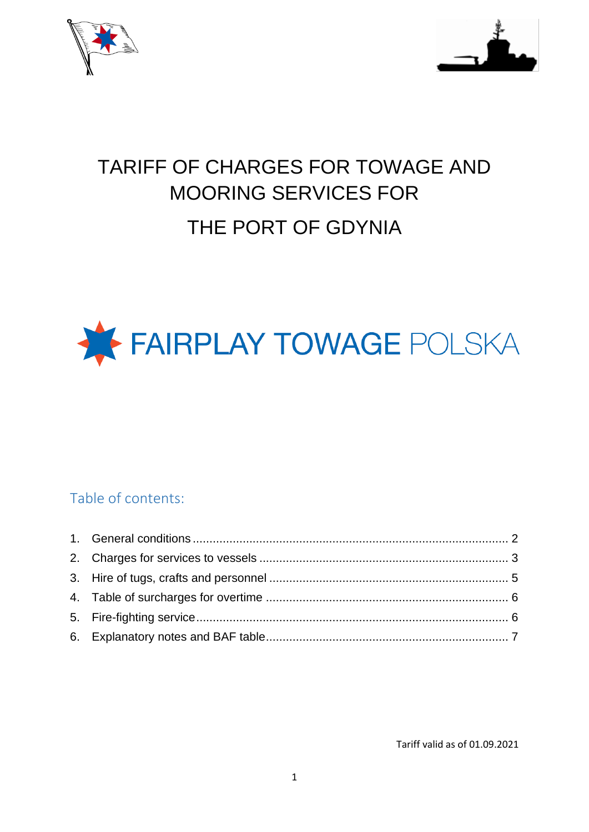



# TARIFF OF CHARGES FOR TOWAGE AND MOORING SERVICES FOR THE PORT OF GDYNIA



#### Table of contents:

Tariff valid as of 01.09.2021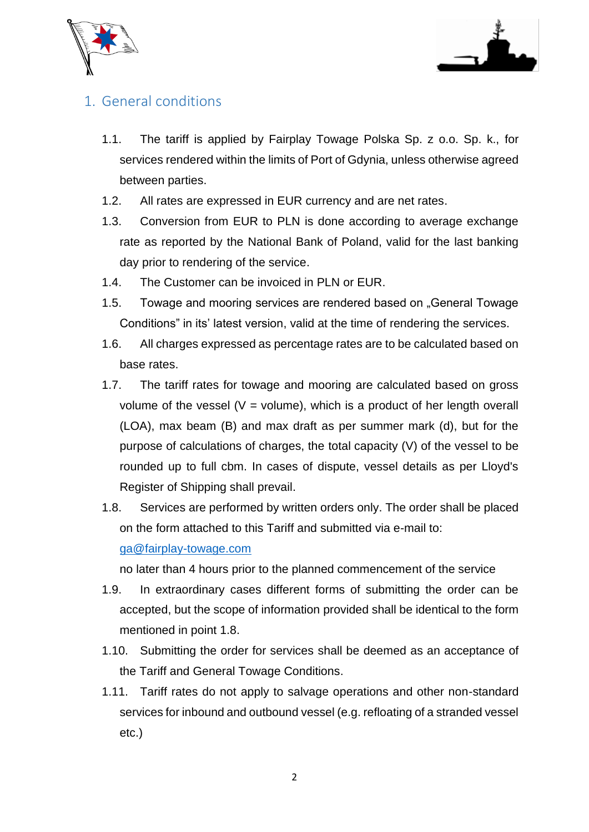



#### 1. General conditions

- 1.1. The tariff is applied by Fairplay Towage Polska Sp. z o.o. Sp. k., for services rendered within the limits of Port of Gdynia, unless otherwise agreed between parties.
- 1.2. All rates are expressed in EUR currency and are net rates.
- 1.3. Conversion from EUR to PLN is done according to average exchange rate as reported by the National Bank of Poland, valid for the last banking day prior to rendering of the service.
- 1.4. The Customer can be invoiced in PLN or EUR.
- 1.5. Towage and mooring services are rendered based on "General Towage Conditions" in its' latest version, valid at the time of rendering the services.
- 1.6. All charges expressed as percentage rates are to be calculated based on base rates.
- 1.7. The tariff rates for towage and mooring are calculated based on gross volume of the vessel ( $V =$  volume), which is a product of her length overall (LOA), max beam (B) and max draft as per summer mark (d), but for the purpose of calculations of charges, the total capacity (V) of the vessel to be rounded up to full cbm. In cases of dispute, vessel details as per Lloyd's Register of Shipping shall prevail.
- 1.8. Services are performed by written orders only. The order shall be placed on the form attached to this Tariff and submitted via e-mail to: [ga@fairplay-towage.com](mailto:ga@fairplay-towage.com)

no later than 4 hours prior to the planned commencement of the service

- 1.9. In extraordinary cases different forms of submitting the order can be accepted, but the scope of information provided shall be identical to the form mentioned in point 1.8.
- 1.10. Submitting the order for services shall be deemed as an acceptance of the Tariff and General Towage Conditions.
- 1.11. Tariff rates do not apply to salvage operations and other non-standard services for inbound and outbound vessel (e.g. refloating of a stranded vessel etc.)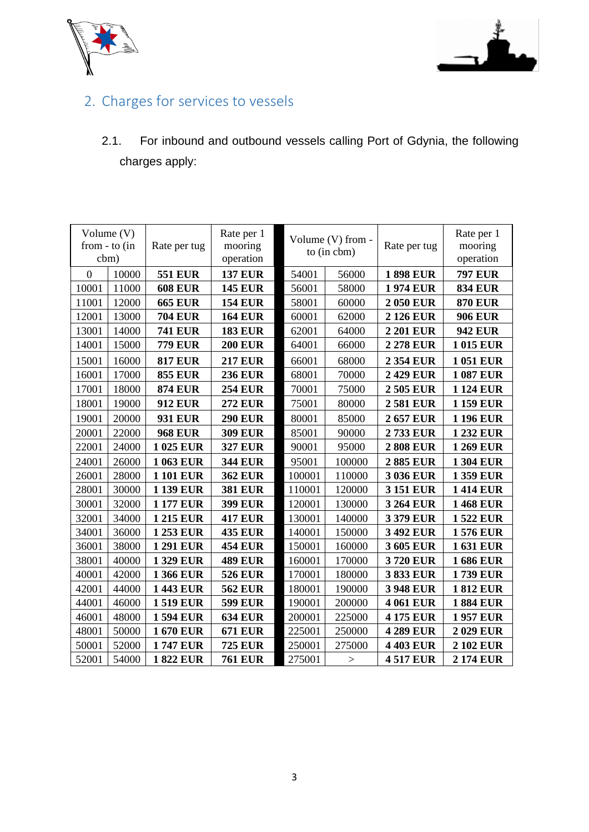



## 2. Charges for services to vessels

2.1. For inbound and outbound vessels calling Port of Gdynia, the following charges apply:

| Volume (V)       |       |                  | Rate per 1     |                   |                          |                  | Rate per 1      |  |           |
|------------------|-------|------------------|----------------|-------------------|--------------------------|------------------|-----------------|--|-----------|
| from $-$ to (in  |       | Rate per tug     | mooring        | Volume (V) from - |                          | Rate per tug     | mooring         |  |           |
| cbm)             |       |                  | operation      | to (in cbm)       |                          |                  |                 |  | operation |
| $\boldsymbol{0}$ | 10000 | <b>551 EUR</b>   | <b>137 EUR</b> | 54001<br>56000    |                          | <b>1898 EUR</b>  | <b>797 EUR</b>  |  |           |
| 10001            | 11000 | <b>608 EUR</b>   | <b>145 EUR</b> | 56001             | 58000                    | <b>1974 EUR</b>  | <b>834 EUR</b>  |  |           |
| 11001            | 12000 | <b>665 EUR</b>   | <b>154 EUR</b> | 58001             | 60000                    | <b>2050 EUR</b>  | <b>870 EUR</b>  |  |           |
| 12001            | 13000 | <b>704 EUR</b>   | <b>164 EUR</b> | 60001             | 62000<br><b>2126 EUR</b> |                  | <b>906 EUR</b>  |  |           |
| 13001            | 14000 | <b>741 EUR</b>   | <b>183 EUR</b> | 62001             | 64000                    | <b>2201 EUR</b>  | <b>942 EUR</b>  |  |           |
| 14001            | 15000 | <b>779 EUR</b>   | <b>200 EUR</b> | 64001             | 66000                    | <b>2278 EUR</b>  | <b>1015 EUR</b> |  |           |
| 15001            | 16000 | <b>817 EUR</b>   | <b>217 EUR</b> | 66001             | 68000                    | <b>2354 EUR</b>  | <b>1051 EUR</b> |  |           |
| 16001            | 17000 | <b>855 EUR</b>   | <b>236 EUR</b> | 68001             | 70000                    | <b>2429 EUR</b>  | <b>1087 EUR</b> |  |           |
| 17001            | 18000 | <b>874 EUR</b>   | <b>254 EUR</b> | 70001             | 75000                    | 2 505 EUR        | <b>1124 EUR</b> |  |           |
| 18001            | 19000 | <b>912 EUR</b>   | <b>272 EUR</b> | 75001             | 80000                    | <b>2581 EUR</b>  | <b>1159 EUR</b> |  |           |
| 19001            | 20000 | <b>931 EUR</b>   | <b>290 EUR</b> | 80001             | 85000                    | <b>2657 EUR</b>  | <b>1196 EUR</b> |  |           |
| 20001            | 22000 | <b>968 EUR</b>   | <b>309 EUR</b> | 85001             | 90000                    | 2733 EUR         | 1 232 EUR       |  |           |
| 22001            | 24000 | 1 025 EUR        | <b>327 EUR</b> | 90001             | 95000                    | <b>2808 EUR</b>  | <b>1269 EUR</b> |  |           |
| 24001            | 26000 | <b>1063 EUR</b>  | <b>344 EUR</b> | 95001             | 100000                   | <b>2885 EUR</b>  | <b>1304 EUR</b> |  |           |
| 26001            | 28000 | <b>1101 EUR</b>  | <b>362 EUR</b> | 100001            | 110000                   | <b>3 036 EUR</b> | 1359 EUR        |  |           |
| 28001            | 30000 | <b>1 139 EUR</b> | <b>381 EUR</b> | 110001            | 120000                   | <b>3151 EUR</b>  | <b>1414 EUR</b> |  |           |
| 30001            | 32000 | <b>1177 EUR</b>  | <b>399 EUR</b> | 120001            | 130000                   | <b>3264 EUR</b>  | <b>1468 EUR</b> |  |           |
| 32001            | 34000 | <b>1215 EUR</b>  | <b>417 EUR</b> | 130001            | 140000                   | <b>3379 EUR</b>  | <b>1522 EUR</b> |  |           |
| 34001            | 36000 | <b>1253 EUR</b>  | <b>435 EUR</b> | 140001            | 150000                   | 3 492 EUR        | <b>1576 EUR</b> |  |           |
| 36001            | 38000 | <b>1291 EUR</b>  | <b>454 EUR</b> | 150001            | 160000                   | 3 605 EUR        | <b>1631 EUR</b> |  |           |
| 38001            | 40000 | <b>1329 EUR</b>  | <b>489 EUR</b> | 160001            | 170000                   | <b>3720 EUR</b>  |                 |  |           |
| 40001            | 42000 | <b>1366 EUR</b>  | <b>526 EUR</b> | 170001            | 180000<br>3833 EUR       |                  | <b>1739 EUR</b> |  |           |
| 42001            | 44000 | <b>1443 EUR</b>  | <b>562 EUR</b> | 180001            | 190000                   | <b>3948 EUR</b>  | <b>1812 EUR</b> |  |           |
| 44001            | 46000 | <b>1519 EUR</b>  | <b>599 EUR</b> | 190001<br>200000  |                          | <b>4 061 EUR</b> | <b>1884 EUR</b> |  |           |
| 46001            | 48000 | <b>1594 EUR</b>  | <b>634 EUR</b> | 200001<br>225000  |                          | <b>4175 EUR</b>  | <b>1957 EUR</b> |  |           |
| 48001            | 50000 | <b>1670 EUR</b>  | <b>671 EUR</b> | 225001<br>250000  |                          | <b>4289 EUR</b>  | <b>2029 EUR</b> |  |           |
| 50001            | 52000 | <b>1747 EUR</b>  | <b>725 EUR</b> | 250001<br>275000  |                          | <b>4403 EUR</b>  | <b>2102 EUR</b> |  |           |
| 52001            | 54000 | <b>1822 EUR</b>  | <b>761 EUR</b> | 275001            | $\label{eq:1} \quad$     | <b>4517 EUR</b>  | <b>2174 EUR</b> |  |           |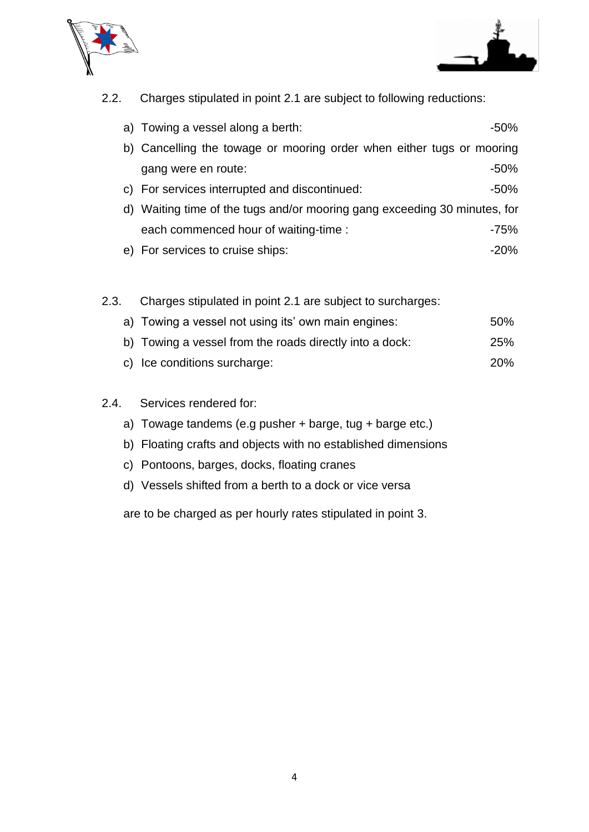



2.2. Charges stipulated in point 2.1 are subject to following reductions:

|    | a) Towing a vessel along a berth:                                         | -50%    |  |
|----|---------------------------------------------------------------------------|---------|--|
| b) | Cancelling the towage or mooring order when either tugs or mooring        |         |  |
|    | gang were en route:                                                       | $-50\%$ |  |
|    | c) For services interrupted and discontinued:                             | $-50%$  |  |
|    | d) Waiting time of the tugs and/or mooring gang exceeding 30 minutes, for |         |  |
|    | each commenced hour of waiting-time :                                     | -75%    |  |
|    | e) For services to cruise ships:                                          | $-20%$  |  |

#### 2.3. Charges stipulated in point 2.1 are subject to surcharges:

- a) Towing a vessel not using its' own main engines: 50%
- b) Towing a vessel from the roads directly into a dock: 25%
- c) Ice conditions surcharge: 20%

#### 2.4. Services rendered for:

- a) Towage tandems (e.g pusher + barge, tug + barge etc.)
- b) Floating crafts and objects with no established dimensions
- c) Pontoons, barges, docks, floating cranes
- d) Vessels shifted from a berth to a dock or vice versa

are to be charged as per hourly rates stipulated in point 3.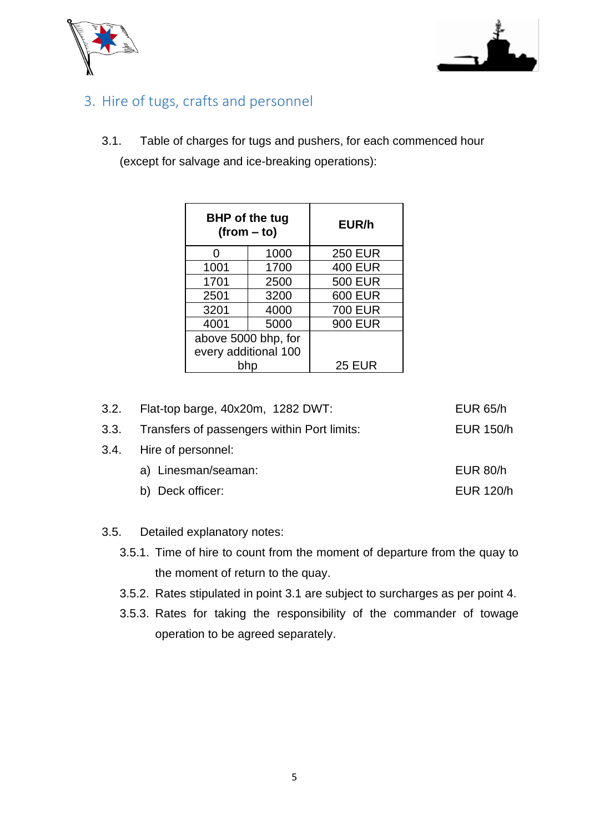



## 3. Hire of tugs, crafts and personnel

3.1. Table of charges for tugs and pushers, for each commenced hour (except for salvage and ice-breaking operations):

|      | <b>BHP</b> of the tug<br>$(from - to)$ | EUR/h          |
|------|----------------------------------------|----------------|
| O    | 1000                                   | <b>250 EUR</b> |
| 1001 | 1700                                   | <b>400 EUR</b> |
| 1701 | 2500                                   | <b>500 EUR</b> |
| 2501 | 3200                                   | <b>600 EUR</b> |
| 3201 | 4000                                   | <b>700 EUR</b> |
| 4001 | 5000                                   | <b>900 EUR</b> |
|      | above 5000 bhp, for                    |                |
|      | every additional 100                   |                |
|      | bhp                                    | <b>25 EUR</b>  |

| 3.2. Flat-top barge, 40x20m, 1282 DWT:           | <b>EUR 65/h</b>  |
|--------------------------------------------------|------------------|
| 3.3. Transfers of passengers within Port limits: | <b>EUR 150/h</b> |
| 3.4. Hire of personnel:                          |                  |
| a) Linesman/seaman:                              | <b>EUR 80/h</b>  |
| b) Deck officer:                                 | <b>EUR 120/h</b> |
|                                                  |                  |

#### 3.5. Detailed explanatory notes:

- 3.5.1. Time of hire to count from the moment of departure from the quay to the moment of return to the quay.
- 3.5.2. Rates stipulated in point 3.1 are subject to surcharges as per point 4.
- 3.5.3. Rates for taking the responsibility of the commander of towage operation to be agreed separately.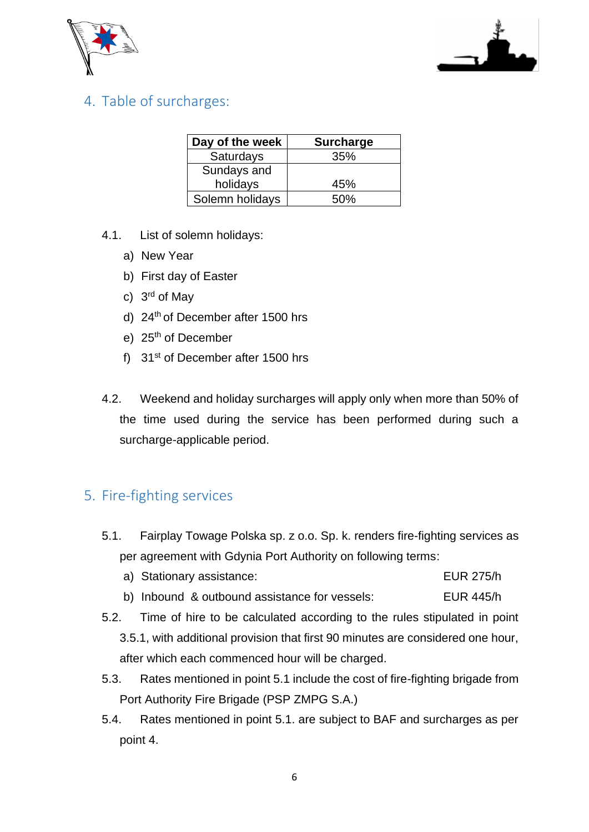



## <span id="page-5-0"></span>4. Table of surcharges:

| Day of the week | <b>Surcharge</b> |
|-----------------|------------------|
| Saturdays       | 35%              |
| Sundays and     |                  |
| holidays        | 45%              |
| Solemn holidays | .50%             |

- 4.1. List of solemn holidays:
	- a) New Year
	- b) First day of Easter
	- c) 3<sup>rd</sup> of May
	- d) 24<sup>th</sup> of December after 1500 hrs
	- e) 25<sup>th</sup> of December
	- f) 31st of December after 1500 hrs
- 4.2. Weekend and holiday surcharges will apply only when more than 50% of the time used during the service has been performed during such a surcharge-applicable period.

#### 5. Fire-fighting services

5.1. Fairplay Towage Polska sp. z o.o. Sp. k. renders fire-fighting services as per agreement with Gdynia Port Authority on following terms:

|  | a) Stationary assistance: |  |  | <b>EUR 275/h</b> |
|--|---------------------------|--|--|------------------|
|--|---------------------------|--|--|------------------|

- b) Inbound & outbound assistance for vessels: EUR 445/h
- 5.2. Time of hire to be calculated according to the rules stipulated in point 3.5.1, with additional provision that first 90 minutes are considered one hour, after which each commenced hour will be charged.
- 5.3. Rates mentioned in point 5.1 include the cost of fire-fighting brigade from Port Authority Fire Brigade (PSP ZMPG S.A.)
- 5.4. Rates mentioned in point 5.1. are subject to BAF and surcharges as per point 4.